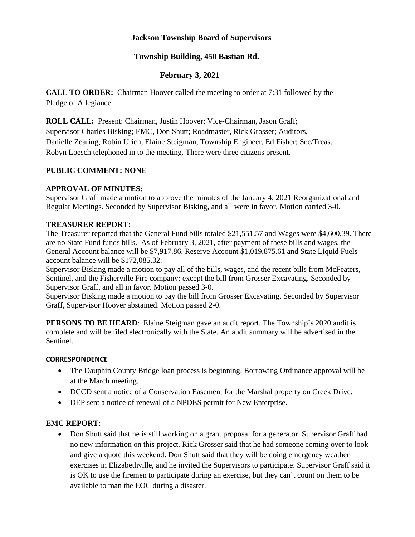## **Jackson Township Board of Supervisors**

# **Township Building, 450 Bastian Rd.**

# **February 3, 2021**

**CALL TO ORDER:** Chairman Hoover called the meeting to order at 7:31 followed by the Pledge of Allegiance.

**ROLL CALL:** Present: Chairman, Justin Hoover; Vice-Chairman, Jason Graff; Supervisor Charles Bisking; EMC, Don Shutt; Roadmaster, Rick Grosser; Auditors, Danielle Zearing, Robin Urich, Elaine Steigman; Township Engineer, Ed Fisher; Sec/Treas. Robyn Loesch telephoned in to the meeting. There were three citizens present.

### **PUBLIC COMMENT: NONE**

## **APPROVAL OF MINUTES:**

Supervisor Graff made a motion to approve the minutes of the January 4, 2021 Reorganizational and Regular Meetings. Seconded by Supervisor Bisking, and all were in favor. Motion carried 3-0.

### **TREASURER REPORT:**

The Treasurer reported that the General Fund bills totaled \$21,551.57 and Wages were \$4,600.39. There are no State Fund funds bills. As of February 3, 2021, after payment of these bills and wages, the General Account balance will be \$7,917.86, Reserve Account \$1,019,875.61 and State Liquid Fuels account balance will be \$172,085.32.

Supervisor Bisking made a motion to pay all of the bills, wages, and the recent bills from McFeaters, Sentinel, and the Fisherville Fire company; except the bill from Grosser Excavating. Seconded by Supervisor Graff, and all in favor. Motion passed 3-0.

Supervisor Bisking made a motion to pay the bill from Grosser Excavating. Seconded by Supervisor Graff, Supervisor Hoover abstained. Motion passed 2-0.

**PERSONS TO BE HEARD**: Elaine Steigman gave an audit report. The Township's 2020 audit is complete and will be filed electronically with the State. An audit summary will be advertised in the Sentinel.

#### **CORRESPONDENCE**

- The Dauphin County Bridge loan process is beginning. Borrowing Ordinance approval will be at the March meeting.
- DCCD sent a notice of a Conservation Easement for the Marshal property on Creek Drive.
- DEP sent a notice of renewal of a NPDES permit for New Enterprise.

## **EMC REPORT**:

• Don Shutt said that he is still working on a grant proposal for a generator. Supervisor Graff had no new information on this project. Rick Grosser said that he had someone coming over to look and give a quote this weekend. Don Shutt said that they will be doing emergency weather exercises in Elizabethville, and he invited the Supervisors to participate. Supervisor Graff said it is OK to use the firemen to participate during an exercise, but they can't count on them to be available to man the EOC during a disaster.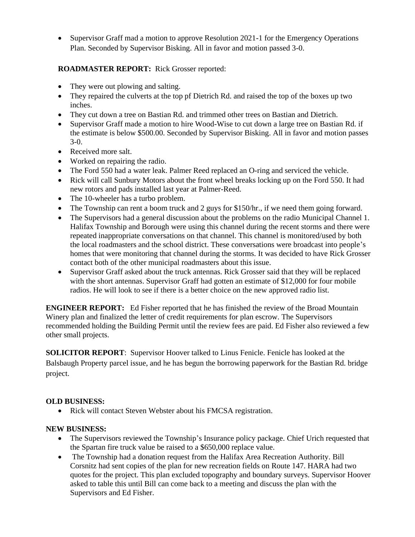• Supervisor Graff mad a motion to approve Resolution 2021-1 for the Emergency Operations Plan. Seconded by Supervisor Bisking. All in favor and motion passed 3-0.

# **ROADMASTER REPORT:** Rick Grosser reported:

- They were out plowing and salting.
- They repaired the culverts at the top pf Dietrich Rd. and raised the top of the boxes up two inches.
- They cut down a tree on Bastian Rd. and trimmed other trees on Bastian and Dietrich.
- Supervisor Graff made a motion to hire Wood-Wise to cut down a large tree on Bastian Rd. if the estimate is below \$500.00. Seconded by Supervisor Bisking. All in favor and motion passes 3-0.
- Received more salt.
- Worked on repairing the radio.
- The Ford 550 had a water leak. Palmer Reed replaced an O-ring and serviced the vehicle.
- Rick will call Sunbury Motors about the front wheel breaks locking up on the Ford 550. It had new rotors and pads installed last year at Palmer-Reed.
- The 10-wheeler has a turbo problem.
- The Township can rent a boom truck and 2 guys for \$150/hr., if we need them going forward.
- The Supervisors had a general discussion about the problems on the radio Municipal Channel 1. Halifax Township and Borough were using this channel during the recent storms and there were repeated inappropriate conversations on that channel. This channel is monitored/used by both the local roadmasters and the school district. These conversations were broadcast into people's homes that were monitoring that channel during the storms. It was decided to have Rick Grosser contact both of the other municipal roadmasters about this issue.
- Supervisor Graff asked about the truck antennas. Rick Grosser said that they will be replaced with the short antennas. Supervisor Graff had gotten an estimate of \$12,000 for four mobile radios. He will look to see if there is a better choice on the new approved radio list.

**ENGINEER REPORT:** Ed Fisher reported that he has finished the review of the Broad Mountain Winery plan and finalized the letter of credit requirements for plan escrow. The Supervisors recommended holding the Building Permit until the review fees are paid. Ed Fisher also reviewed a few other small projects.

**SOLICITOR REPORT**: Supervisor Hoover talked to Linus Fenicle. Fenicle has looked at the Balsbaugh Property parcel issue, and he has begun the borrowing paperwork for the Bastian Rd. bridge project.

## **OLD BUSINESS:**

• Rick will contact Steven Webster about his FMCSA registration.

## **NEW BUSINESS:**

- The Supervisors reviewed the Township's Insurance policy package. Chief Urich requested that the Spartan fire truck value be raised to a \$650,000 replace value.
- The Township had a donation request from the Halifax Area Recreation Authority. Bill Corsnitz had sent copies of the plan for new recreation fields on Route 147. HARA had two quotes for the project. This plan excluded topography and boundary surveys. Supervisor Hoover asked to table this until Bill can come back to a meeting and discuss the plan with the Supervisors and Ed Fisher.